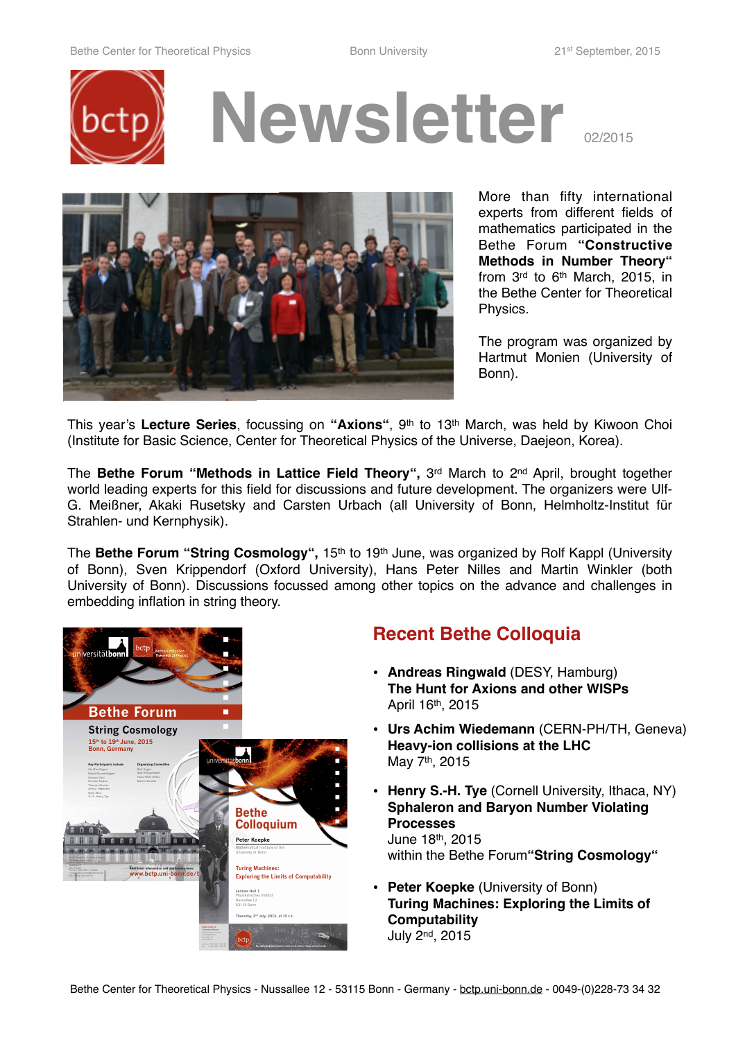Bethe Center for Theoretical Physics **Bonn University** 21st September, 2015



# Newsletter



More than fifty international experts from different fields of mathematics participated in the Bethe Forum **"Constructive Methods in Number Theory"** from 3rd to 6th March, 2015, in the Bethe Center for Theoretical Physics.

The program was organized by Hartmut Monien (University of Bonn).

This year's Lecture Series, focussing on "Axions", 9<sup>th</sup> to 13<sup>th</sup> March, was held by Kiwoon Choi (Institute for Basic Science, Center for Theoretical Physics of the Universe, Daejeon, Korea).

The **Bethe Forum "Methods in Lattice Field Theory",** 3rd March to 2nd April, brought together world leading experts for this field for discussions and future development. The organizers were Ulf-G. Meißner, Akaki Rusetsky and Carsten Urbach (all University of Bonn, Helmholtz-Institut für Strahlen- und Kernphysik).

The Bethe Forum "String Cosmology", 15<sup>th</sup> to 19<sup>th</sup> June, was organized by Rolf Kappl (University of Bonn), Sven Krippendorf (Oxford University), Hans Peter Nilles and Martin Winkler (both University of Bonn). Discussions focussed among other topics on the advance and challenges in embedding inflation in string theory.



## **Recent Bethe Colloquia**

- **Andreas Ringwald** (DESY, Hamburg) **The Hunt for Axions and other WISPs** April 16th, 2015
- **Urs Achim Wiedemann** (CERN-PH/TH, Geneva) **Heavy-ion collisions at the LHC** May 7th, 2015
- **Henry S.-H. Tye** (Cornell University, Ithaca, NY) **Sphaleron and Baryon Number Violating Processes**  June 18th, 2015 within the Bethe Forum**"String Cosmology"**
- **Peter Koepke** (University of Bonn) **Turing Machines: Exploring the Limits of Computability** July 2nd, 2015